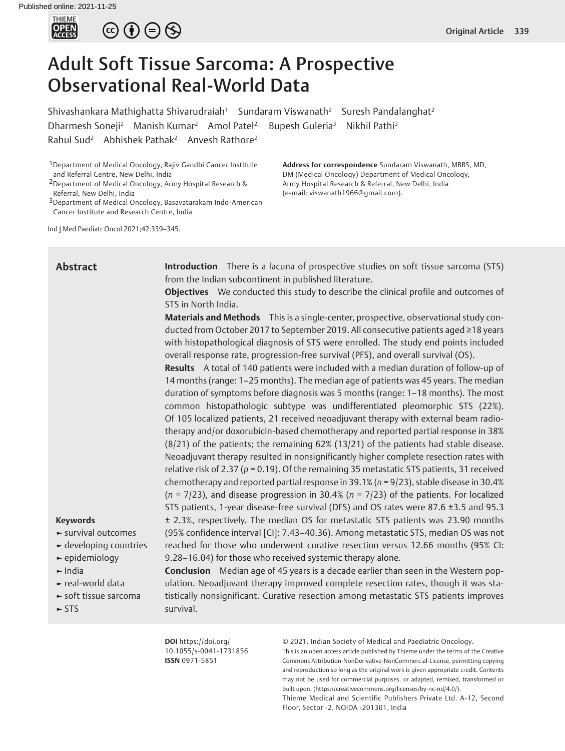

# $\circledcirc \bullet \circledcirc \circledcirc$

# Adult Soft Tissue Sarcoma: A Prospective Observational Real-World Data

Shivashankara Mathighatta Shivarudraiah<sup>1</sup> Sundaram Viswanath<sup>2</sup> Suresh Pandalanghat<sup>2</sup> Dharmesh Soneji<sup>2</sup> Manish Kumar<sup>2</sup> Amol Patel<sup>2,</sup> Bupesh Guleria<sup>3</sup> Nikhil Pathi<sup>2</sup> Rahul Sud<sup>2</sup> Abhishek Pathak<sup>2</sup> Anvesh Rathore<sup>2</sup>

1Department of Medical Oncology, Rajiv Gandhi Cancer Institute and Referral Centre, New Delhi, India

2Department of Medical Oncology, Army Hospital Research & Referral, New Delhi, India

3Department of Medical Oncology, Basavatarakam Indo-American Cancer Institute and Research Centre, India

Ind J Med Paediatr Oncol 2021;42:339–345.

**Address for correspondence** Sundaram Viswanath, MBBS, MD, DM (Medical Oncology) Department of Medical Oncology, Army Hospital Research & Referral, New Delhi, India (e-mail: viswanath1966@gmail.com).

# **Abstract**

**Introduction** There is a lacuna of prospective studies on soft tissue sarcoma (STS) from the Indian subcontinent in published literature.

**Objectives** We conducted this study to describe the clinical profile and outcomes of STS in North India.

**Materials and Methods** This is a single-center, prospective, observational study conducted from October 2017 to September 2019. All consecutive patients aged ≥18 years with histopathological diagnosis of STS were enrolled. The study end points included overall response rate, progression-free survival (PFS), and overall survival (OS).

**Results** A total of 140 patients were included with a median duration of follow-up of 14 months (range: 1–25 months). The median age of patients was 45 years. The median duration of symptoms before diagnosis was 5 months (range: 1–18 months). The most common histopathologic subtype was undifferentiated pleomorphic STS (22%). Of 105 localized patients, 21 received neoadjuvant therapy with external beam radiotherapy and/or doxorubicin-based chemotherapy and reported partial response in 38% (8/21) of the patients; the remaining 62% (13/21) of the patients had stable disease. Neoadjuvant therapy resulted in nonsignificantly higher complete resection rates with relative risk of 2.37 (*p* = 0.19). Of the remaining 35 metastatic STS patients, 31 received chemotherapy and reported partial response in 39.1% (*n* = 9/23), stable disease in 30.4% (*n* = 7/23), and disease progression in 30.4% (*n* = 7/23) of the patients. For localized STS patients, 1-year disease-free survival (DFS) and OS rates were 87.6 ±3.5 and 95.3 ± 2.3%, respectively. The median OS for metastatic STS patients was 23.90 months (95% confidence interval [CI]: 7.43–40.36). Among metastatic STS, median OS was not reached for those who underwent curative resection versus 12.66 months (95% CI: 9.28–16.04) for those who received systemic therapy alone.

**►** India

**Keywords**

**►** real-world data

**►** epidemiology

**►** soft tissue sarcoma

**►** survival outcomes **►** developing countries

**►** STS

**Conclusion** Median age of 45 years is a decade earlier than seen in the Western population. Neoadjuvant therapy improved complete resection rates, though it was statistically nonsignificant. Curative resection among metastatic STS patients improves survival.

**DOI** https://doi.org/ 10.1055/s-0041-1731856 **ISSN** 0971-5851

© 2021. Indian Society of Medical and Paediatric Oncology.

This is an open access article published by Thieme under the terms of the Creative Commons Attribution-NonDerivative-NonCommercial-License, permitting copying and reproduction so long as the original work is given appropriate credit. Contents may not be used for commercial purposes, or adapted, remixed, transformed or built upon. (https://creativecommons.org/licenses/by-nc-nd/4.0/).

Thieme Medical and Scientific Publishers Private Ltd. A-12, Second Floor, Sector -2, NOIDA -201301, India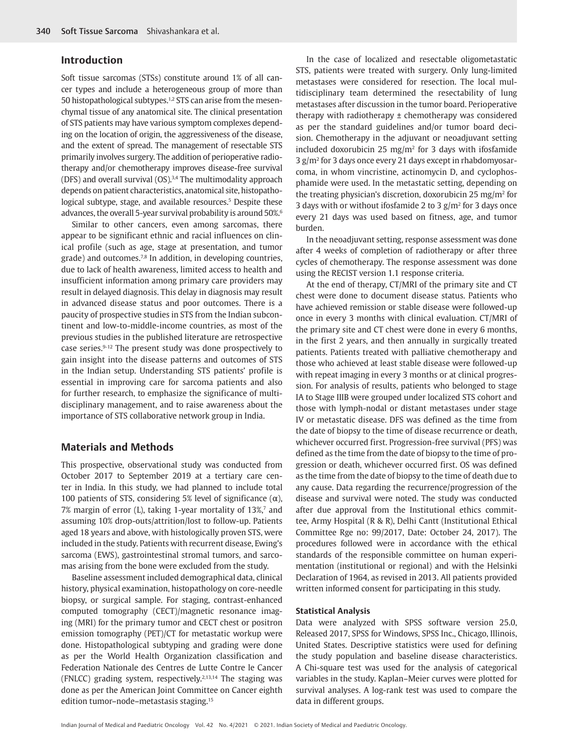## **Introduction**

Soft tissue sarcomas (STSs) constitute around 1% of all cancer types and include a heterogeneous group of more than 50 histopathological subtypes.<sup>1,2</sup> STS can arise from the mesenchymal tissue of any anatomical site. The clinical presentation of STS patients may have various symptom complexes depending on the location of origin, the aggressiveness of the disease, and the extent of spread. The management of resectable STS primarily involves surgery. The addition of perioperative radiotherapy and/or chemotherapy improves disease-free survival (DFS) and overall survival (OS).<sup>3,4</sup> The multimodality approach depends on patient characteristics, anatomical site, histopathological subtype, stage, and available resources.<sup>5</sup> Despite these advances, the overall 5-year survival probability is around 50%.<sup>6</sup>

Similar to other cancers, even among sarcomas, there appear to be significant ethnic and racial influences on clinical profile (such as age, stage at presentation, and tumor grade) and outcomes.<sup>7,8</sup> In addition, in developing countries, due to lack of health awareness, limited access to health and insufficient information among primary care providers may result in delayed diagnosis. This delay in diagnosis may result in advanced disease status and poor outcomes. There is a paucity of prospective studies in STS from the Indian subcontinent and low-to-middle-income countries, as most of the previous studies in the published literature are retrospective case series.9-12 The present study was done prospectively to gain insight into the disease patterns and outcomes of STS in the Indian setup. Understanding STS patients' profile is essential in improving care for sarcoma patients and also for further research, to emphasize the significance of multidisciplinary management, and to raise awareness about the importance of STS collaborative network group in India.

# **Materials and Methods**

This prospective, observational study was conducted from October 2017 to September 2019 at a tertiary care center in India. In this study, we had planned to include total 100 patients of STS, considering 5% level of significance  $(α)$ , 7% margin of error (L), taking 1-year mortality of 13%, $^7$  and assuming 10% drop-outs/attrition/lost to follow-up. Patients aged 18 years and above, with histologically proven STS, were included in the study. Patients with recurrent disease, Ewing's sarcoma (EWS), gastrointestinal stromal tumors, and sarcomas arising from the bone were excluded from the study.

Baseline assessment included demographical data, clinical history, physical examination, histopathology on core-needle biopsy, or surgical sample. For staging, contrast-enhanced computed tomography (CECT)/magnetic resonance imaging (MRI) for the primary tumor and CECT chest or positron emission tomography (PET)/CT for metastatic workup were done. Histopathological subtyping and grading were done as per the World Health Organization classification and Federation Nationale des Centres de Lutte Contre le Cancer (FNLCC) grading system, respectively.<sup>2,13,14</sup> The staging was done as per the American Joint Committee on Cancer eighth edition tumor–node–metastasis staging.15

In the case of localized and resectable oligometastatic STS, patients were treated with surgery. Only lung-limited metastases were considered for resection. The local multidisciplinary team determined the resectability of lung metastases after discussion in the tumor board. Perioperative therapy with radiotherapy ± chemotherapy was considered as per the standard guidelines and/or tumor board decision. Chemotherapy in the adjuvant or neoadjuvant setting included doxorubicin 25 mg/m<sup>2</sup> for 3 days with ifosfamide 3 g/m2 for 3 days once every 21 days except in rhabdomyosarcoma, in whom vincristine, actinomycin D, and cyclophosphamide were used. In the metastatic setting, depending on the treating physician's discretion, doxorubicin 25 mg/m<sup>2</sup> for 3 days with or without ifosfamide 2 to 3  $g/m^2$  for 3 days once every 21 days was used based on fitness, age, and tumor burden.

In the neoadjuvant setting, response assessment was done after 4 weeks of completion of radiotherapy or after three cycles of chemotherapy. The response assessment was done using the RECIST version 1.1 response criteria.

At the end of therapy, CT/MRI of the primary site and CT chest were done to document disease status. Patients who have achieved remission or stable disease were followed-up once in every 3 months with clinical evaluation. CT/MRI of the primary site and CT chest were done in every 6 months, in the first 2 years, and then annually in surgically treated patients. Patients treated with palliative chemotherapy and those who achieved at least stable disease were followed-up with repeat imaging in every 3 months or at clinical progression. For analysis of results, patients who belonged to stage IA to Stage IIIB were grouped under localized STS cohort and those with lymph-nodal or distant metastases under stage IV or metastatic disease. DFS was defined as the time from the date of biopsy to the time of disease recurrence or death, whichever occurred first. Progression-free survival (PFS) was defined as the time from the date of biopsy to the time of progression or death, whichever occurred first. OS was defined as the time from the date of biopsy to the time of death due to any cause. Data regarding the recurrence/progression of the disease and survival were noted. The study was conducted after due approval from the Institutional ethics committee, Army Hospital (R & R), Delhi Cantt (Institutional Ethical Committee Rge no: 99/2017, Date: October 24, 2017). The procedures followed were in accordance with the ethical standards of the responsible committee on human experimentation (institutional or regional) and with the Helsinki Declaration of 1964, as revised in 2013. All patients provided written informed consent for participating in this study.

## **Statistical Analysis**

Data were analyzed with SPSS software version 25.0, Released 2017, SPSS for Windows, SPSS Inc., Chicago, Illinois, United States. Descriptive statistics were used for defining the study population and baseline disease characteristics. A Chi-square test was used for the analysis of categorical variables in the study. Kaplan–Meier curves were plotted for survival analyses. A log-rank test was used to compare the data in different groups.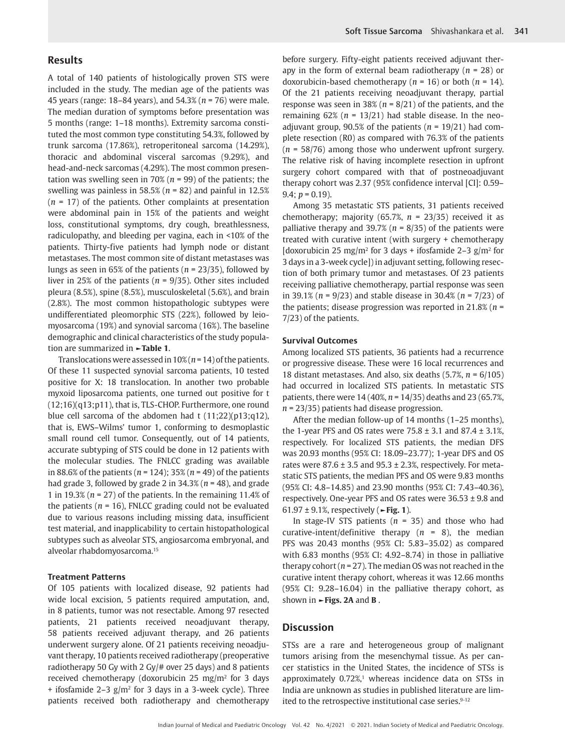## **Results**

A total of 140 patients of histologically proven STS were included in the study. The median age of the patients was 45 years (range: 18–84 years), and 54.3% (*n* = 76) were male. The median duration of symptoms before presentation was 5 months (range: 1–18 months). Extremity sarcoma constituted the most common type constituting 54.3%, followed by trunk sarcoma (17.86%), retroperitoneal sarcoma (14.29%), thoracic and abdominal visceral sarcomas (9.29%), and head-and-neck sarcomas (4.29%). The most common presentation was swelling seen in 70% (*n* = 99) of the patients; the swelling was painless in 58.5% (*n* = 82) and painful in 12.5% (*n* = 17) of the patients. Other complaints at presentation were abdominal pain in 15% of the patients and weight loss, constitutional symptoms, dry cough, breathlessness, radiculopathy, and bleeding per vagina, each in <10% of the patients. Thirty-five patients had lymph node or distant metastases. The most common site of distant metastases was lungs as seen in 65% of the patients (*n* = 23/35), followed by liver in 25% of the patients (*n* = 9/35). Other sites included pleura (8.5%), spine (8.5%), musculoskeletal (5.6%), and brain (2.8%). The most common histopathologic subtypes were undifferentiated pleomorphic STS (22%), followed by leiomyosarcoma (19%) and synovial sarcoma (16%). The baseline demographic and clinical characteristics of the study population are summarized in **►Table 1**.

Translocations were assessed in 10% (*n* = 14) of the patients. Of these 11 suspected synovial sarcoma patients, 10 tested positive for X: 18 translocation. In another two probable myxoid liposarcoma patients, one turned out positive for t (12;16)(q13;p11), that is, TLS-CHOP. Furthermore, one round blue cell sarcoma of the abdomen had t (11;22)(p13;q12), that is, EWS–Wilms' tumor 1, conforming to desmoplastic small round cell tumor. Consequently, out of 14 patients, accurate subtyping of STS could be done in 12 patients with the molecular studies. The FNLCC grading was available in 88.6% of the patients (*n* = 124); 35% (*n* = 49) of the patients had grade 3, followed by grade 2 in 34.3% (*n* = 48), and grade 1 in 19.3% (*n* = 27) of the patients. In the remaining 11.4% of the patients ( $n = 16$ ), FNLCC grading could not be evaluated due to various reasons including missing data, insufficient test material, and inapplicability to certain histopathological subtypes such as alveolar STS, angiosarcoma embryonal, and alveolar rhabdomyosarcoma.15

#### **Treatment Patterns**

Of 105 patients with localized disease, 92 patients had wide local excision, 5 patients required amputation, and, in 8 patients, tumor was not resectable. Among 97 resected patients, 21 patients received neoadjuvant therapy, 58 patients received adjuvant therapy, and 26 patients underwent surgery alone. Of 21 patients receiving neoadjuvant therapy, 10 patients received radiotherapy (preoperative radiotherapy 50 Gy with 2 Gy/# over 25 days) and 8 patients received chemotherapy (doxorubicin 25 mg/m<sup>2</sup> for 3 days  $+$  ifosfamide 2–3  $g/m^2$  for 3 days in a 3-week cycle). Three patients received both radiotherapy and chemotherapy

before surgery. Fifty-eight patients received adjuvant therapy in the form of external beam radiotherapy (*n* = 28) or doxorubicin-based chemotherapy (*n* = 16) or both (*n* = 14). Of the 21 patients receiving neoadjuvant therapy, partial response was seen in 38% (*n* = 8/21) of the patients, and the remaining  $62\%$  ( $n = 13/21$ ) had stable disease. In the neoadjuvant group, 90.5% of the patients (*n* = 19/21) had complete resection (R0) as compared with 76.3% of the patients (*n* = 58/76) among those who underwent upfront surgery. The relative risk of having incomplete resection in upfront surgery cohort compared with that of postneoadjuvant therapy cohort was 2.37 (95% confidence interval [CI]: 0.59– 9.4;  $p = 0.19$ ).

Among 35 metastatic STS patients, 31 patients received chemotherapy; majority (65.7%, *n* = 23/35) received it as palliative therapy and 39.7% (*n* = 8/35) of the patients were treated with curative intent (with surgery + chemotherapy [doxorubicin 25 mg/m<sup>2</sup> for 3 days + ifosfamide 2–3 g/m<sup>2</sup> for 3 days in a 3-week cycle]) in adjuvant setting, following resection of both primary tumor and metastases. Of 23 patients receiving palliative chemotherapy, partial response was seen in 39.1% (*n* = 9/23) and stable disease in 30.4% (*n* = 7/23) of the patients; disease progression was reported in 21.8% (*n* = 7/23) of the patients.

## **Survival Outcomes**

Among localized STS patients, 36 patients had a recurrence or progressive disease. These were 16 local recurrences and 18 distant metastases. And also, six deaths (5.7%, *n* = 6/105) had occurred in localized STS patients. In metastatic STS patients, there were 14 (40%, *n* = 14/35) deaths and 23 (65.7%, *n* = 23/35) patients had disease progression.

After the median follow-up of 14 months (1–25 months), the 1-year PFS and OS rates were  $75.8 \pm 3.1$  and  $87.4 \pm 3.1$ %, respectively. For localized STS patients, the median DFS was 20.93 months (95% CI: 18.09–23.77); 1-year DFS and OS rates were  $87.6 \pm 3.5$  and  $95.3 \pm 2.3$ %, respectively. For metastatic STS patients, the median PFS and OS were 9.83 months (95% CI: 4.8–14.85) and 23.90 months (95% CI: 7.43–40.36), respectively. One-year PFS and OS rates were 36.53 ± 9.8 and 61.97 ± 9.1%, respectively (**►Fig. 1**).

In stage-IV STS patients (*n* = 35) and those who had curative-intent/definitive therapy (*n* = 8), the median PFS was 20.43 months (95% CI: 5.83–35.02) as compared with 6.83 months (95% CI: 4.92–8.74) in those in palliative therapy cohort ( $n = 27$ ). The median OS was not reached in the curative intent therapy cohort, whereas it was 12.66 months (95% CI: 9.28–16.04) in the palliative therapy cohort, as shown in **►Figs. 2A** and **B** .

## **Discussion**

STSs are a rare and heterogeneous group of malignant tumors arising from the mesenchymal tissue. As per cancer statistics in the United States, the incidence of STSs is approximately 0.72%,<sup>1</sup> whereas incidence data on STSs in India are unknown as studies in published literature are limited to the retrospective institutional case series.<sup>9-12</sup>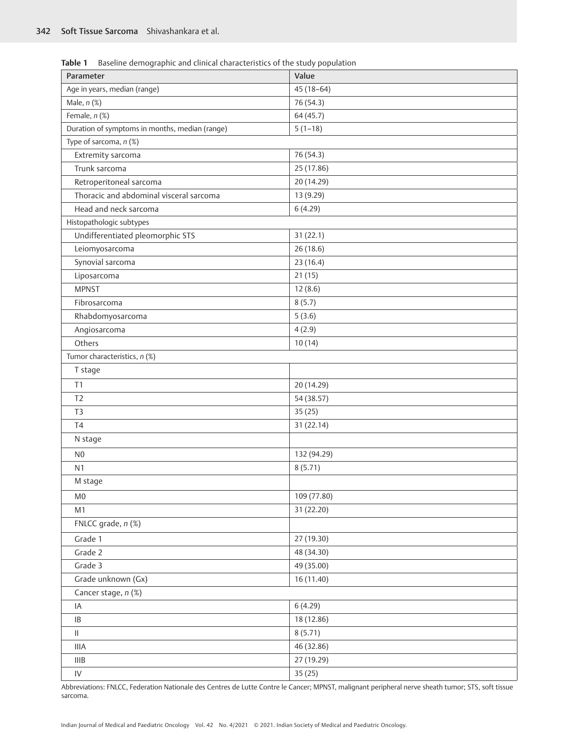**Table 1** Baseline demographic and clinical characteristics of the study population

| Parameter                                      | Value       |  |  |  |  |  |
|------------------------------------------------|-------------|--|--|--|--|--|
| Age in years, median (range)                   | $45(18-64)$ |  |  |  |  |  |
| Male, $n$ $(\%)$                               | 76 (54.3)   |  |  |  |  |  |
| Female, n (%)                                  | 64(45.7)    |  |  |  |  |  |
| Duration of symptoms in months, median (range) | $5(1-18)$   |  |  |  |  |  |
| Type of sarcoma, n (%)                         |             |  |  |  |  |  |
| Extremity sarcoma                              | 76 (54.3)   |  |  |  |  |  |
| Trunk sarcoma                                  | 25 (17.86)  |  |  |  |  |  |
| Retroperitoneal sarcoma                        | 20 (14.29)  |  |  |  |  |  |
| Thoracic and abdominal visceral sarcoma        | 13 (9.29)   |  |  |  |  |  |
| Head and neck sarcoma                          | 6(4.29)     |  |  |  |  |  |
| Histopathologic subtypes                       |             |  |  |  |  |  |
| Undifferentiated pleomorphic STS               | 31(22.1)    |  |  |  |  |  |
| Leiomyosarcoma                                 | 26(18.6)    |  |  |  |  |  |
| Synovial sarcoma                               | 23(16.4)    |  |  |  |  |  |
| Liposarcoma                                    | 21(15)      |  |  |  |  |  |
| <b>MPNST</b>                                   | 12(8.6)     |  |  |  |  |  |
| Fibrosarcoma                                   | 8(5.7)      |  |  |  |  |  |
| Rhabdomyosarcoma                               | 5(3.6)      |  |  |  |  |  |
| Angiosarcoma                                   | 4(2.9)      |  |  |  |  |  |
| Others                                         | 10(14)      |  |  |  |  |  |
| Tumor characteristics, n (%)                   |             |  |  |  |  |  |
| T stage                                        |             |  |  |  |  |  |
| T1                                             | 20 (14.29)  |  |  |  |  |  |
| T <sub>2</sub>                                 | 54 (38.57)  |  |  |  |  |  |
| T <sub>3</sub>                                 | 35(25)      |  |  |  |  |  |
| T <sub>4</sub>                                 | 31 (22.14)  |  |  |  |  |  |
| N stage                                        |             |  |  |  |  |  |
| N <sub>0</sub>                                 | 132 (94.29) |  |  |  |  |  |
| N <sub>1</sub>                                 | 8(5.71)     |  |  |  |  |  |
| M stage                                        |             |  |  |  |  |  |
| M <sub>0</sub>                                 | 109 (77.80) |  |  |  |  |  |
| M1                                             | 31 (22.20)  |  |  |  |  |  |
| FNLCC grade, n (%)                             |             |  |  |  |  |  |
| Grade 1                                        | 27 (19.30)  |  |  |  |  |  |
| Grade 2                                        | 48 (34.30)  |  |  |  |  |  |
| Grade 3                                        | 49 (35.00)  |  |  |  |  |  |
| Grade unknown (Gx)                             | 16 (11.40)  |  |  |  |  |  |
| Cancer stage, n (%)                            |             |  |  |  |  |  |
| IA                                             | 6(4.29)     |  |  |  |  |  |
| $\sf IB$                                       |             |  |  |  |  |  |
|                                                | 18 (12.86)  |  |  |  |  |  |
| $\ensuremath{\mathsf{II}}$                     | 8(5.71)     |  |  |  |  |  |
| <b>IIIA</b>                                    | 46 (32.86)  |  |  |  |  |  |
| IIIB                                           | 27 (19.29)  |  |  |  |  |  |
| ${\sf IV}$                                     | 35(25)      |  |  |  |  |  |

Abbreviations: FNLCC, Federation Nationale des Centres de Lutte Contre le Cancer; MPNST, malignant peripheral nerve sheath tumor; STS, soft tissue sarcoma.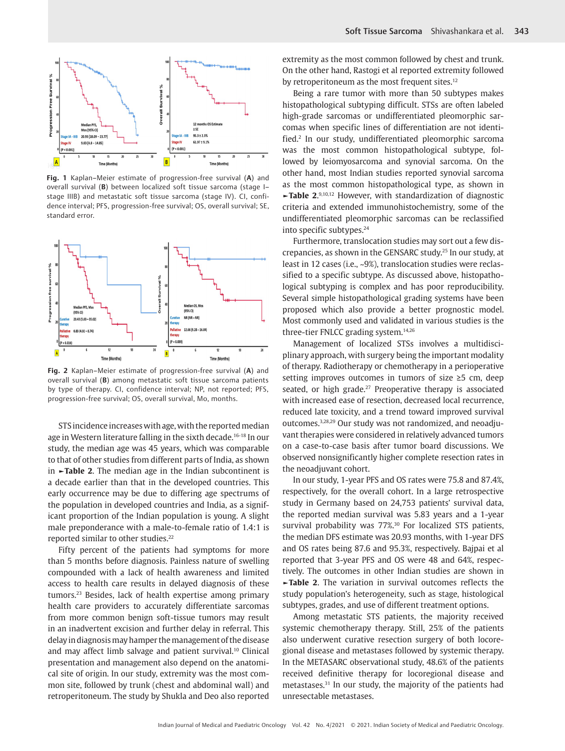

**Fig. 1** Kaplan–Meier estimate of progression-free survival (**A**) and overall survival (**B**) between localized soft tissue sarcoma (stage I– stage IIIB) and metastatic soft tissue sarcoma (stage IV). CI, confidence interval; PFS, progression-free survival; OS, overall survival; SE, standard error.



**Fig. 2** Kaplan–Meier estimate of progression-free survival (**A**) and overall survival (**B**) among metastatic soft tissue sarcoma patients by type of therapy. CI, confidence interval; NP, not reported; PFS, progression-free survival; OS, overall survival, Mo, months.

STS incidence increases with age, with the reported median age in Western literature falling in the sixth decade.<sup>16-18</sup> In our study, the median age was 45 years, which was comparable to that of other studies from different parts of India, as shown in **►Table 2**. The median age in the Indian subcontinent is a decade earlier than that in the developed countries. This early occurrence may be due to differing age spectrums of the population in developed countries and India, as a significant proportion of the Indian population is young. A slight male preponderance with a male-to-female ratio of 1.4:1 is reported similar to other studies.<sup>22</sup>

Fifty percent of the patients had symptoms for more than 5 months before diagnosis. Painless nature of swelling compounded with a lack of health awareness and limited access to health care results in delayed diagnosis of these tumors.23 Besides, lack of health expertise among primary health care providers to accurately differentiate sarcomas from more common benign soft-tissue tumors may result in an inadvertent excision and further delay in referral. This delay in diagnosis may hamper the management of the disease and may affect limb salvage and patient survival.<sup>10</sup> Clinical presentation and management also depend on the anatomical site of origin. In our study, extremity was the most common site, followed by trunk (chest and abdominal wall) and retroperitoneum. The study by Shukla and Deo also reported

extremity as the most common followed by chest and trunk. On the other hand, Rastogi et al reported extremity followed by retroperitoneum as the most frequent sites.<sup>12</sup>

Being a rare tumor with more than 50 subtypes makes histopathological subtyping difficult. STSs are often labeled high-grade sarcomas or undifferentiated pleomorphic sarcomas when specific lines of differentiation are not identified.2 In our study, undifferentiated pleomorphic sarcoma was the most common histopathological subtype, followed by leiomyosarcoma and synovial sarcoma. On the other hand, most Indian studies reported synovial sarcoma as the most common histopathological type, as shown in **►Table 2**. 9,10,12 However, with standardization of diagnostic criteria and extended immunohistochemistry, some of the undifferentiated pleomorphic sarcomas can be reclassified into specific subtypes.<sup>24</sup>

Furthermore, translocation studies may sort out a few discrepancies, as shown in the GENSARC study.25 In our study, at least in 12 cases (i.e., ~9%), translocation studies were reclassified to a specific subtype. As discussed above, histopathological subtyping is complex and has poor reproducibility. Several simple histopathological grading systems have been proposed which also provide a better prognostic model. Most commonly used and validated in various studies is the three-tier FNLCC grading system.14,26

Management of localized STSs involves a multidisciplinary approach, with surgery being the important modality of therapy. Radiotherapy or chemotherapy in a perioperative setting improves outcomes in tumors of size ≥5 cm, deep seated, or high grade.<sup>27</sup> Preoperative therapy is associated with increased ease of resection, decreased local recurrence, reduced late toxicity, and a trend toward improved survival outcomes.3,28,29 Our study was not randomized, and neoadjuvant therapies were considered in relatively advanced tumors on a case-to-case basis after tumor board discussions. We observed nonsignificantly higher complete resection rates in the neoadjuvant cohort.

In our study, 1-year PFS and OS rates were 75.8 and 87.4%, respectively, for the overall cohort. In a large retrospective study in Germany based on 24,753 patients' survival data, the reported median survival was 5.83 years and a 1-year survival probability was 77%.<sup>30</sup> For localized STS patients, the median DFS estimate was 20.93 months, with 1-year DFS and OS rates being 87.6 and 95.3%, respectively. Bajpai et al reported that 3-year PFS and OS were 48 and 64%, respectively. The outcomes in other Indian studies are shown in **►Table 2**. The variation in survival outcomes reflects the study population's heterogeneity, such as stage, histological subtypes, grades, and use of different treatment options.

Among metastatic STS patients, the majority received systemic chemotherapy therapy. Still, 25% of the patients also underwent curative resection surgery of both locoregional disease and metastases followed by systemic therapy. In the METASARC observational study, 48.6% of the patients received definitive therapy for locoregional disease and metastases.31 In our study, the majority of the patients had unresectable metastases.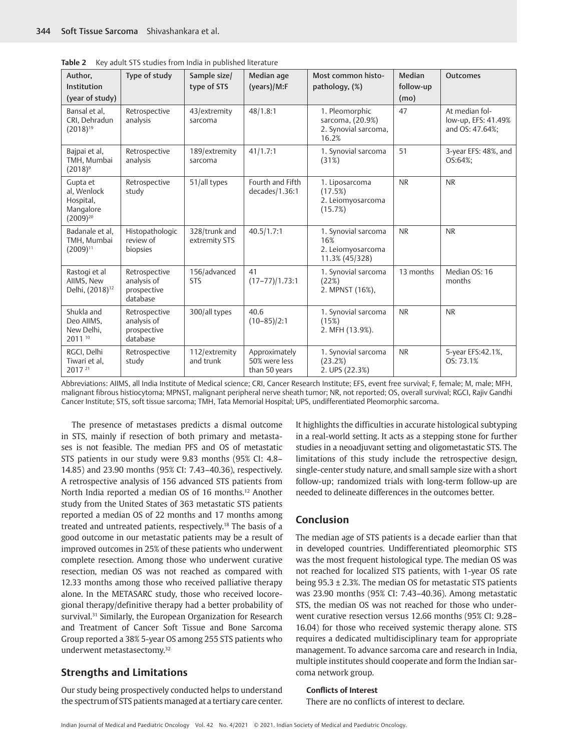| Author.                                                            | ney additions stadies if only india in pabilshed interacant<br>Type of study | Sample size/                   | Median age                                      | Most common histo-                                                  | <b>Median</b> | <b>Outcomes</b>                                          |
|--------------------------------------------------------------------|------------------------------------------------------------------------------|--------------------------------|-------------------------------------------------|---------------------------------------------------------------------|---------------|----------------------------------------------------------|
| Institution                                                        |                                                                              | type of STS                    | (years)/M:F                                     | pathology, (%)                                                      | follow-up     |                                                          |
| (year of study)                                                    |                                                                              |                                |                                                 |                                                                     | (mo)          |                                                          |
| Bansal et al.<br>CRI, Dehradun<br>$(2018)^{19}$                    | Retrospective<br>analysis                                                    | 43/extremity<br>sarcoma        | 48/1.8:1                                        | 1. Pleomorphic<br>sarcoma, (20.9%)<br>2. Synovial sarcoma,<br>16.2% | 47            | At median fol-<br>low-up, EFS: 41.49%<br>and OS: 47.64%; |
| Bajpai et al,<br>TMH, Mumbai<br>$(2018)^9$                         | Retrospective<br>analysis                                                    | 189/extremity<br>sarcoma       | 41/1.7:1                                        | 1. Synovial sarcoma<br>(31%)                                        | 51            | 3-year EFS: 48%, and<br>OS:64%;                          |
| Gupta et<br>al. Wenlock<br>Hospital,<br>Mangalore<br>$(2009)^{20}$ | Retrospective<br>study                                                       | 51/all types                   | Fourth and Fifth<br>decades/1.36:1              | 1. Liposarcoma<br>(17.5%)<br>2. Leiomyosarcoma<br>(15.7%)           | <b>NR</b>     | <b>NR</b>                                                |
| Badanale et al,<br>TMH, Mumbai<br>$(2009)^{11}$                    | Histopathologic<br>review of<br>biopsies                                     | 328/trunk and<br>extremity STS | 40.5/1.7:1                                      | 1. Synovial sarcoma<br>16%<br>2. Leiomyosarcoma<br>11.3% (45/328)   | <b>NR</b>     | <b>NR</b>                                                |
| Rastogi et al<br>AllMS, New<br>Delhi, (2018) <sup>12</sup>         | Retrospective<br>analysis of<br>prospective<br>database                      | 156/advanced<br><b>STS</b>     | 41<br>$(17-77)/1.73:1$                          | 1. Synovial sarcoma<br>(22%)<br>2. MPNST (16%),                     | 13 months     | Median OS: 16<br>months                                  |
| Shukla and<br>Deo AllMS,<br>New Delhi,<br>2011 10                  | Retrospective<br>analysis of<br>prospective<br>database                      | 300/all types                  | 40.6<br>$(10 - 85)/2:1$                         | 1. Synovial sarcoma<br>(15%)<br>2. MFH (13.9%).                     | <b>NR</b>     | <b>NR</b>                                                |
| RGCI, Delhi<br>Tiwari et al,<br>2017 21                            | Retrospective<br>study                                                       | 112/extremity<br>and trunk     | Approximately<br>50% were less<br>than 50 years | 1. Synovial sarcoma<br>(23.2%)<br>2. UPS (22.3%)                    | <b>NR</b>     | 5-year EFS:42.1%,<br>OS: 73.1%                           |

**Table 2** Key adult STS studies from India in published literature

Abbreviations: AIIMS, all India Institute of Medical science; CRI, Cancer Research Institute; EFS, event free survival; F, female; M, male; MFH, malignant fibrous histiocytoma; MPNST, malignant peripheral nerve sheath tumor; NR, not reported; OS, overall survival; RGCI, Rajiv Gandhi Cancer Institute; STS, soft tissue sarcoma; TMH, Tata Memorial Hospital; UPS, undifferentiated Pleomorphic sarcoma.

The presence of metastases predicts a dismal outcome in STS, mainly if resection of both primary and metastases is not feasible. The median PFS and OS of metastatic STS patients in our study were 9.83 months (95% CI: 4.8– 14.85) and 23.90 months (95% CI: 7.43–40.36), respectively. A retrospective analysis of 156 advanced STS patients from North India reported a median OS of 16 months.<sup>12</sup> Another study from the United States of 363 metastatic STS patients reported a median OS of 22 months and 17 months among treated and untreated patients, respectively.18 The basis of a good outcome in our metastatic patients may be a result of improved outcomes in 25% of these patients who underwent complete resection. Among those who underwent curative resection, median OS was not reached as compared with 12.33 months among those who received palliative therapy alone. In the METASARC study, those who received locoregional therapy/definitive therapy had a better probability of survival.<sup>31</sup> Similarly, the European Organization for Research and Treatment of Cancer Soft Tissue and Bone Sarcoma Group reported a 38% 5-year OS among 255 STS patients who underwent metastasectomy.32

# **Strengths and Limitations**

Our study being prospectively conducted helps to understand the spectrum of STS patients managed at a tertiary care center. It highlights the difficulties in accurate histological subtyping in a real-world setting. It acts as a stepping stone for further studies in a neoadjuvant setting and oligometastatic STS. The limitations of this study include the retrospective design, single-center study nature, and small sample size with a short follow-up; randomized trials with long-term follow-up are needed to delineate differences in the outcomes better.

# **Conclusion**

The median age of STS patients is a decade earlier than that in developed countries. Undifferentiated pleomorphic STS was the most frequent histological type. The median OS was not reached for localized STS patients, with 1-year OS rate being 95.3 ± 2.3%. The median OS for metastatic STS patients was 23.90 months (95% CI: 7.43–40.36). Among metastatic STS, the median OS was not reached for those who underwent curative resection versus 12.66 months (95% CI: 9.28– 16.04) for those who received systemic therapy alone. STS requires a dedicated multidisciplinary team for appropriate management. To advance sarcoma care and research in India, multiple institutes should cooperate and form the Indian sarcoma network group.

#### **Conflicts of Interest**

There are no conflicts of interest to declare.